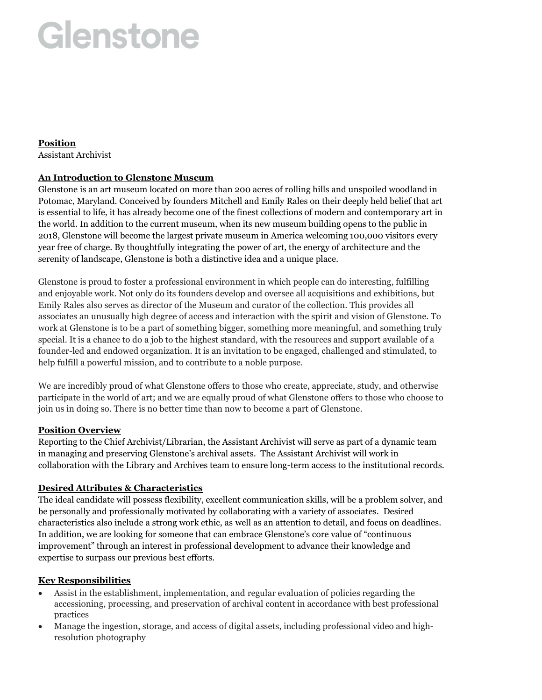# Glenstone

#### **Position**

Assistant Archivist

#### **An Introduction to Glenstone Museum**

Glenstone is an art museum located on more than 200 acres of rolling hills and unspoiled woodland in Potomac, Maryland. Conceived by founders Mitchell and Emily Rales on their deeply held belief that art is essential to life, it has already become one of the finest collections of modern and contemporary art in the world. In addition to the current museum, when its new museum building opens to the public in 2018, Glenstone will become the largest private museum in America welcoming 100,000 visitors every year free of charge. By thoughtfully integrating the power of art, the energy of architecture and the serenity of landscape, Glenstone is both a distinctive idea and a unique place.

Glenstone is proud to foster a professional environment in which people can do interesting, fulfilling and enjoyable work. Not only do its founders develop and oversee all acquisitions and exhibitions, but Emily Rales also serves as director of the Museum and curator of the collection. This provides all associates an unusually high degree of access and interaction with the spirit and vision of Glenstone. To work at Glenstone is to be a part of something bigger, something more meaningful, and something truly special. It is a chance to do a job to the highest standard, with the resources and support available of a founder-led and endowed organization. It is an invitation to be engaged, challenged and stimulated, to help fulfill a powerful mission, and to contribute to a noble purpose.

We are incredibly proud of what Glenstone offers to those who create, appreciate, study, and otherwise participate in the world of art; and we are equally proud of what Glenstone offers to those who choose to join us in doing so. There is no better time than now to become a part of Glenstone.

#### **Position Overview**

Reporting to the Chief Archivist/Librarian, the Assistant Archivist will serve as part of a dynamic team in managing and preserving Glenstone's archival assets. The Assistant Archivist will work in collaboration with the Library and Archives team to ensure long-term access to the institutional records.

#### **Desired Attributes & Characteristics**

The ideal candidate will possess flexibility, excellent communication skills, will be a problem solver, and be personally and professionally motivated by collaborating with a variety of associates. Desired characteristics also include a strong work ethic, as well as an attention to detail, and focus on deadlines. In addition, we are looking for someone that can embrace Glenstone's core value of "continuous improvement" through an interest in professional development to advance their knowledge and expertise to surpass our previous best efforts.

## **Key Responsibilities**

- Assist in the establishment, implementation, and regular evaluation of policies regarding the accessioning, processing, and preservation of archival content in accordance with best professional practices
- Manage the ingestion, storage, and access of digital assets, including professional video and highresolution photography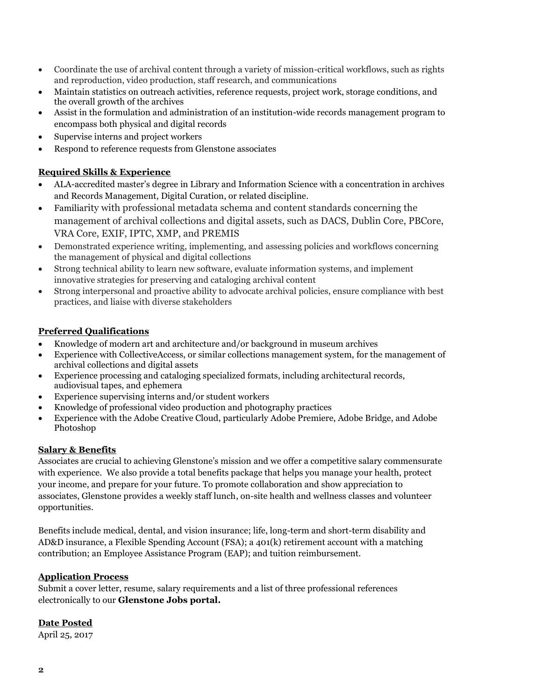- Coordinate the use of archival content through a variety of mission-critical workflows, such as rights and reproduction, video production, staff research, and communications
- Maintain statistics on outreach activities, reference requests, project work, storage conditions, and the overall growth of the archives
- Assist in the formulation and administration of an institution-wide records management program to encompass both physical and digital records
- Supervise interns and project workers
- Respond to reference requests from Glenstone associates

## **Required Skills & Experience**

- ALA-accredited master's degree in Library and Information Science with a concentration in archives and Records Management, Digital Curation, or related discipline.
- Familiarity with professional metadata schema and content standards concerning the management of archival collections and digital assets, such as DACS, Dublin Core, PBCore, VRA Core, EXIF, IPTC, XMP, and PREMIS
- Demonstrated experience writing, implementing, and assessing policies and workflows concerning the management of physical and digital collections
- Strong technical ability to learn new software, evaluate information systems, and implement innovative strategies for preserving and cataloging archival content
- Strong interpersonal and proactive ability to advocate archival policies, ensure compliance with best practices, and liaise with diverse stakeholders

## **Preferred Qualifications**

- Knowledge of modern art and architecture and/or background in museum archives
- Experience with CollectiveAccess, or similar collections management system, for the management of archival collections and digital assets
- Experience processing and cataloging specialized formats, including architectural records, audiovisual tapes, and ephemera
- Experience supervising interns and/or student workers
- Knowledge of professional video production and photography practices
- Experience with the Adobe Creative Cloud, particularly Adobe Premiere, Adobe Bridge, and Adobe Photoshop

## **Salary & Benefits**

Associates are crucial to achieving Glenstone's mission and we offer a competitive salary commensurate with experience. We also provide a total benefits package that helps you manage your health, protect your income, and prepare for your future. To promote collaboration and show appreciation to associates, Glenstone provides a weekly staff lunch, on-site health and wellness classes and volunteer opportunities.

Benefits include medical, dental, and vision insurance; life, long-term and short-term disability and AD&D insurance, a Flexible Spending Account (FSA); a 401(k) retirement account with a matching contribution; an Employee Assistance Program (EAP); and tuition reimbursement.

#### **Application Process**

Submit a cover letter, resume, salary requirements and a list of three professional references electronically to our **[Glenstone Jobs portal.](https://recruiting.myapps.paychex.com/appone/MainInfoReq.asp?R_ID=1576081)**

## **Date Posted**

April 25, 2017